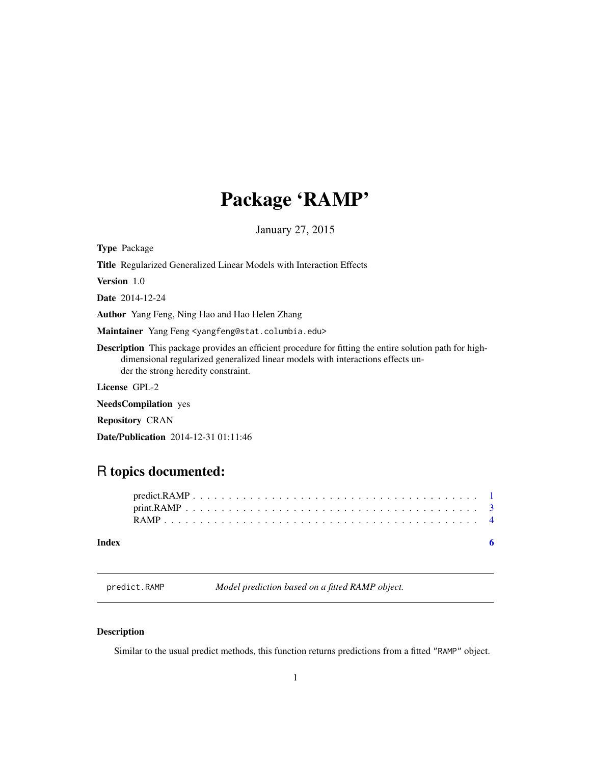## <span id="page-0-0"></span>Package 'RAMP'

January 27, 2015

Type Package

Title Regularized Generalized Linear Models with Interaction Effects

Version 1.0

Date 2014-12-24

Author Yang Feng, Ning Hao and Hao Helen Zhang

Maintainer Yang Feng <yangfeng@stat.columbia.edu>

Description This package provides an efficient procedure for fitting the entire solution path for highdimensional regularized generalized linear models with interactions effects under the strong heredity constraint.

License GPL-2

NeedsCompilation yes

Repository CRAN

Date/Publication 2014-12-31 01:11:46

### R topics documented:

<span id="page-0-1"></span>predict.RAMP *Model prediction based on a fitted RAMP object.*

#### Description

Similar to the usual predict methods, this function returns predictions from a fitted "RAMP" object.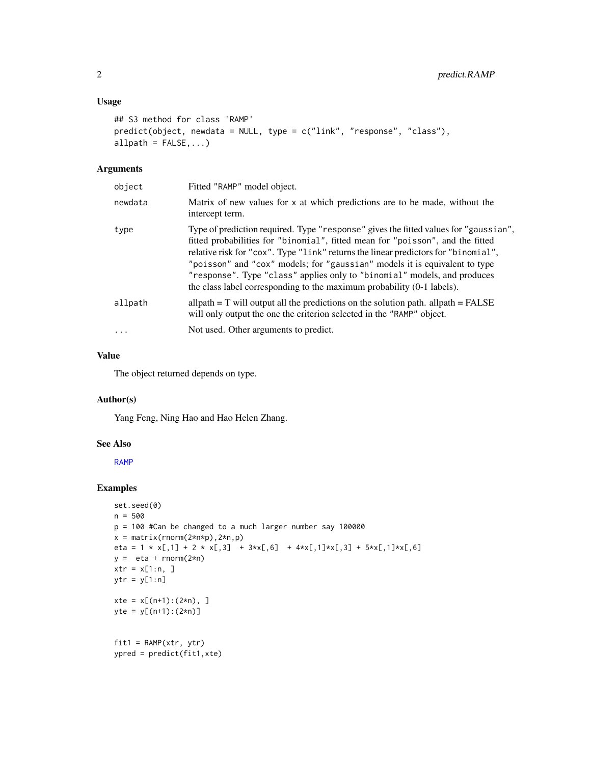#### <span id="page-1-0"></span>Usage

```
## S3 method for class 'RAMP'
predict(object, newdata = NULL, type = c("link", "response", "class"),
allpath = FALSE, ...)
```
#### Arguments

| object   | Fitted "RAMP" model object.                                                                                                                                                                                                                                                                                                                                                                                                                                                                      |
|----------|--------------------------------------------------------------------------------------------------------------------------------------------------------------------------------------------------------------------------------------------------------------------------------------------------------------------------------------------------------------------------------------------------------------------------------------------------------------------------------------------------|
| newdata  | Matrix of new values for x at which predictions are to be made, without the<br>intercept term.                                                                                                                                                                                                                                                                                                                                                                                                   |
| type     | Type of prediction required. Type "response" gives the fitted values for "gaussian",<br>fitted probabilities for "binomial", fitted mean for "poisson", and the fitted<br>relative risk for "cox". Type "link" returns the linear predictors for "binomial",<br>"poisson" and "cox" models; for "gaussian" models it is equivalent to type<br>"response". Type "class" applies only to "binomial" models, and produces<br>the class label corresponding to the maximum probability (0-1 labels). |
| allpath  | allpath $= T$ will output all the predictions on the solution path. allpath $=$ FALSE<br>will only output the one the criterion selected in the "RAMP" object.                                                                                                                                                                                                                                                                                                                                   |
| $\cdots$ | Not used. Other arguments to predict.                                                                                                                                                                                                                                                                                                                                                                                                                                                            |

#### Value

The object returned depends on type.

#### Author(s)

Yang Feng, Ning Hao and Hao Helen Zhang.

#### See Also

[RAMP](#page-3-1)

#### Examples

```
set.seed(0)
n = 500
p = 100 #Can be changed to a much larger number say 100000
x = matrix(rnorm(2*n*p), 2*n, p)eta = 1 * x[,1] + 2 * x[,3] + 3*x[,6] + 4*x[,1]*x[,3] + 5*x[,1]*x[,6]
y = eta + rnorm(2*n)xtr = x[1:n, ]ytr = y[1:n]xte = x[(n+1):(2*n), ]yte = y[(n+1):(2*n)]
fit1 = RAMP(xtr, ytr)ypred = predict(fit1,xte)
```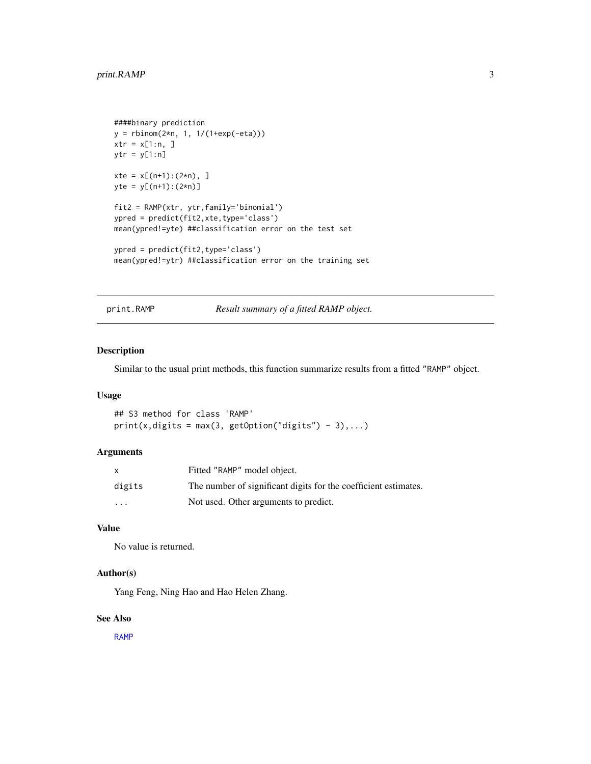```
####binary prediction
y = rbinom(2*n, 1, 1/(1+exp(-eta)))
xtr = x[1:n, ]ytr = y[1:n]
xte = x[(n+1):(2*n), ]yte = y[(n+1):(2*n)]
fit2 = RAMP(xtr, ytr,family='binomial')
ypred = predict(fit2,xte,type='class')
mean(ypred!=yte) ##classification error on the test set
ypred = predict(fit2,type='class')
mean(ypred!=ytr) ##classification error on the training set
```
print.RAMP *Result summary of a fitted RAMP object.*

#### Description

Similar to the usual print methods, this function summarize results from a fitted "RAMP" object.

#### Usage

## S3 method for class 'RAMP'  $print(x, digits = max(3, getOption("digits") - 3),...)$ 

#### Arguments

| X       | Fitted "RAMP" model object.                                     |
|---------|-----------------------------------------------------------------|
| digits  | The number of significant digits for the coefficient estimates. |
| $\cdot$ | Not used. Other arguments to predict.                           |

#### Value

No value is returned.

#### Author(s)

Yang Feng, Ning Hao and Hao Helen Zhang.

#### See Also

[RAMP](#page-3-1)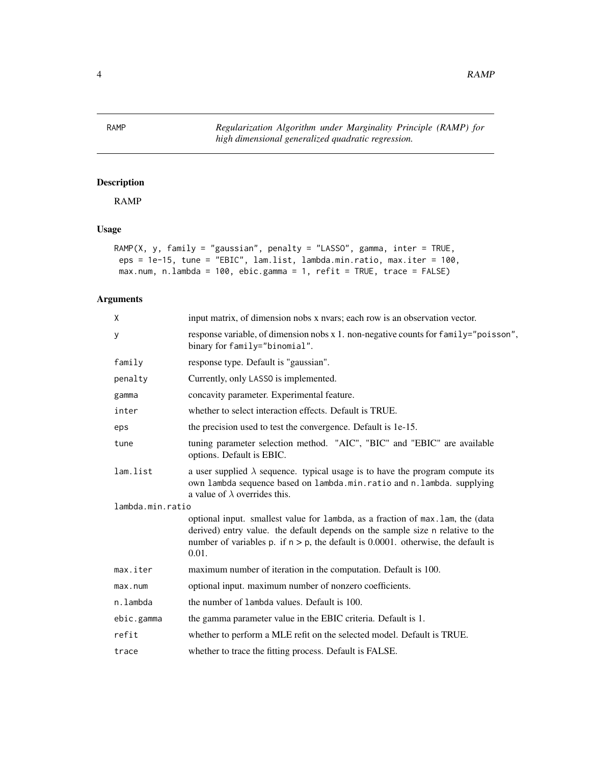<span id="page-3-0"></span>4 RAMP

<span id="page-3-1"></span>RAMP *Regularization Algorithm under Marginality Principle (RAMP) for high dimensional generalized quadratic regression.*

#### Description

RAMP

#### Usage

```
RAMP(X, y, family = "gaussian", penalty = "LASSO", gamma, inter = TRUE,
eps = 1e-15, tune = "EBIC", lam.list, lambda.min.ratio, max.iter = 100,
max.num, n.lambda = 100, ebic.gamma = 1, refit = TRUE, trace = FALSE)
```
#### Arguments

| X                | input matrix, of dimension nobs x nyars; each row is an observation vector.                                                                                                                                                                                        |
|------------------|--------------------------------------------------------------------------------------------------------------------------------------------------------------------------------------------------------------------------------------------------------------------|
| У                | response variable, of dimension nobs x 1. non-negative counts for family="poisson",<br>binary for family="binomial".                                                                                                                                               |
| family           | response type. Default is "gaussian".                                                                                                                                                                                                                              |
| penalty          | Currently, only LASSO is implemented.                                                                                                                                                                                                                              |
| gamma            | concavity parameter. Experimental feature.                                                                                                                                                                                                                         |
| inter            | whether to select interaction effects. Default is TRUE.                                                                                                                                                                                                            |
| eps              | the precision used to test the convergence. Default is 1e-15.                                                                                                                                                                                                      |
| tune             | tuning parameter selection method. "AIC", "BIC" and "EBIC" are available<br>options. Default is EBIC.                                                                                                                                                              |
| lam.list         | a user supplied $\lambda$ sequence. typical usage is to have the program compute its<br>own lambda sequence based on lambda.min.ratio and n.lambda. supplying<br>a value of $\lambda$ overrides this.                                                              |
| lambda.min.ratio |                                                                                                                                                                                                                                                                    |
|                  | optional input. smallest value for lambda, as a fraction of max. lam, the (data<br>derived) entry value. the default depends on the sample size n relative to the<br>number of variables p. if $n > p$ , the default is 0.0001. otherwise, the default is<br>0.01. |
| max.iter         | maximum number of iteration in the computation. Default is 100.                                                                                                                                                                                                    |
| max.num          | optional input. maximum number of nonzero coefficients.                                                                                                                                                                                                            |
| n.lambda         | the number of lambda values. Default is 100.                                                                                                                                                                                                                       |
| ebic.gamma       | the gamma parameter value in the EBIC criteria. Default is 1.                                                                                                                                                                                                      |
| refit            | whether to perform a MLE refit on the selected model. Default is TRUE.                                                                                                                                                                                             |
| trace            | whether to trace the fitting process. Default is FALSE.                                                                                                                                                                                                            |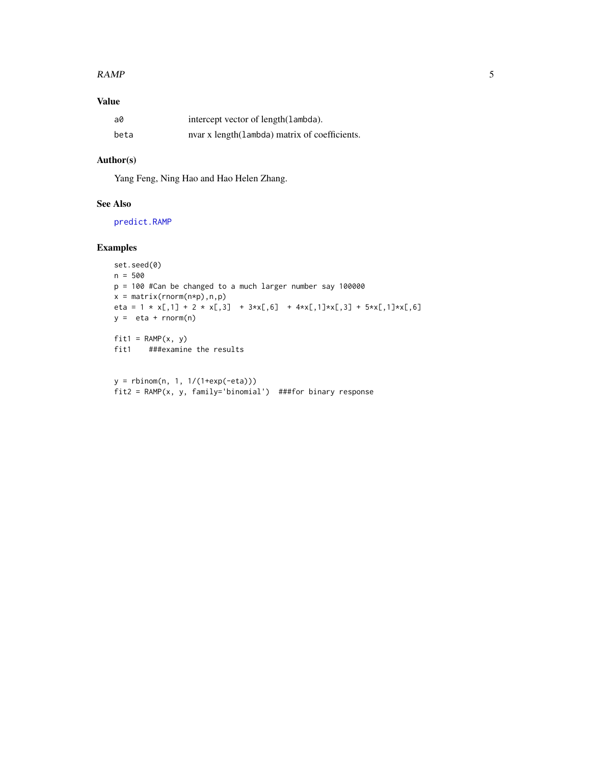#### <span id="page-4-0"></span> $RAMP$  5

#### Value

| a0   | intercept vector of length(lambda).            |
|------|------------------------------------------------|
| beta | nvar x length (lambda) matrix of coefficients. |

#### Author(s)

Yang Feng, Ning Hao and Hao Helen Zhang.

#### See Also

[predict.RAMP](#page-0-1)

#### Examples

```
set.seed(0)
n = 500
p = 100 #Can be changed to a much larger number say 100000
x = matrix(rnorm(n*p),n,p)eta = 1 * x[,1] + 2 * x[,3] + 3*x[,6] + 4*x[,1]*x[,3] + 5*x[,1]*x[,6]
y = eta + rnorm(n)fit1 = RAMP(x, y)fit1 ###examine the results
```

```
y = rbinom(n, 1, 1/(1+exp(-eta)))
fit2 = RAMP(x, y, family='binomial') ##for binary response
```